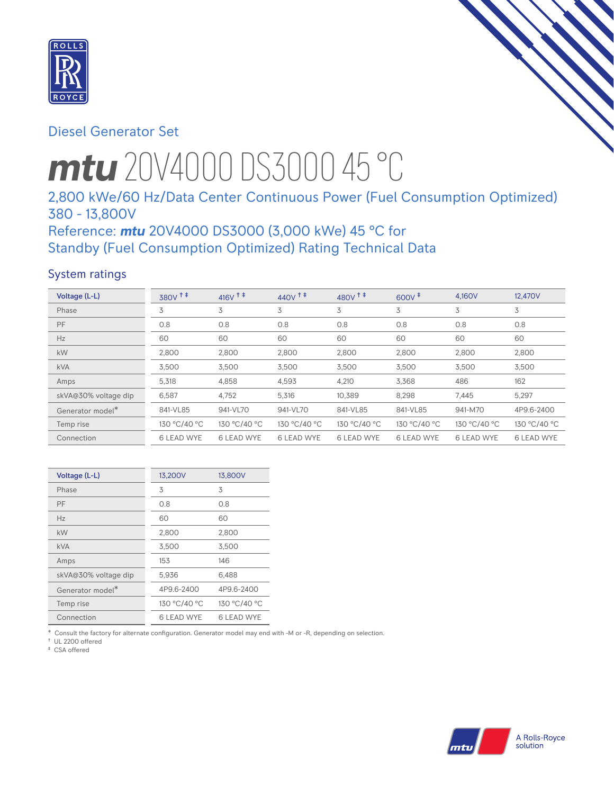

# Diesel Generator Set

# *mtu* 20V4000 DS3000 45 °C

# 2,800 kWe/60 Hz/Data Center Continuous Power (Fuel Consumption Optimized) 380 - 13,800V

# Reference: *mtu* 20V4000 DS3000 (3,000 kWe) 45 °C for Standby (Fuel Consumption Optimized) Rating Technical Data

# System ratings

| Voltage (L-L)        | $380V$ <sup>++</sup> | $416V$ <sup>++</sup> | $440V$ <sup>++</sup> | $480V^{\dagger}$  | $600V^{\ddagger}$ | 4,160V            | 12,470V           |
|----------------------|----------------------|----------------------|----------------------|-------------------|-------------------|-------------------|-------------------|
| Phase                | 3                    | 3                    | 3                    | 3                 | 3                 | 3                 | 3                 |
| PF                   | 0.8                  | 0.8                  | 0.8                  | 0.8               | 0.8               | 0.8               | 0.8               |
| Hz                   | 60                   | 60                   | 60                   | 60                | 60                | 60                | 60                |
| <b>kW</b>            | 2,800                | 2,800                | 2,800                | 2,800             | 2,800             | 2,800             | 2,800             |
| <b>kVA</b>           | 3,500                | 3,500                | 3,500                | 3,500             | 3,500             | 3,500             | 3,500             |
| Amps                 | 5,318                | 4,858                | 4,593                | 4,210             | 3,368             | 486               | 162               |
| skVA@30% voltage dip | 6,587                | 4,752                | 5,316                | 10,389            | 8,298             | 7,445             | 5,297             |
| Generator model*     | 841-VL85             | 941-VL70             | 941-VL70             | 841-VL85          | 841-VL85          | 941-M70           | 4P9.6-2400        |
| Temp rise            | 130 °C/40 °C         | 130 °C/40 °C         | 130 °C/40 °C         | 130 °C/40 °C      | 130 °C/40 °C      | 130 °C/40 °C      | 130 °C/40 °C      |
| Connection           | <b>6 LEAD WYE</b>    | <b>6 LEAD WYE</b>    | 6 LEAD WYE           | <b>6 LEAD WYE</b> | <b>6 LEAD WYE</b> | <b>6 LEAD WYE</b> | <b>6 LEAD WYE</b> |

| Voltage (L-L)        | 13,200V      | 13,800V      |
|----------------------|--------------|--------------|
| Phase                | 3            | 3            |
| PF                   | 0.8          | 0.8          |
| Hz                   | 60           | 60           |
| kW                   | 2,800        | 2,800        |
| kVA                  | 3,500        | 3,500        |
| Amps                 | 153          | 146          |
| skVA@30% voltage dip | 5,936        | 6,488        |
| Generator model*     | 4P9.6-2400   | 4P9.6-2400   |
| Temp rise            | 130 °C/40 °C | 130 °C/40 °C |
| Connection           | 6 LEAD WYE   | 6 LEAD WYE   |

\* Consult the factory for alternate configuration. Generator model may end with -M or -R, depending on selection.

† UL 2200 offered ‡ CSA offered

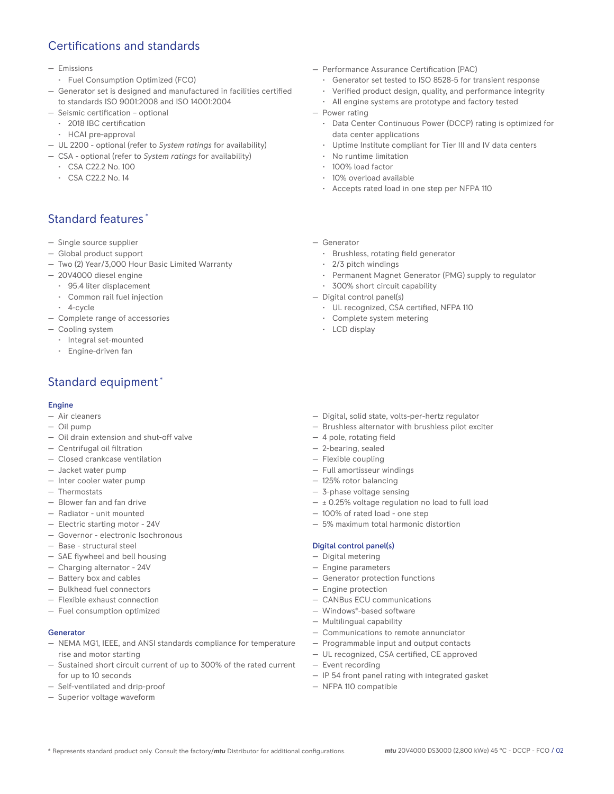# Certifications and standards

- Emissions
- Fuel Consumption Optimized (FCO)
- Generator set is designed and manufactured in facilities certified to standards ISO 9001:2008 and ISO 14001:2004
- Seismic certification optional
- 2018 IBC certification
- HCAI pre-approval
- UL 2200 optional (refer to *System ratings* for availability)
- CSA optional (refer to *System ratings* for availability)
	- CSA C22.2 No. 100
	- CSA C22.2 No. 14

# Standard features \*

- Single source supplier
- Global product support
- Two (2) Year/3,000 Hour Basic Limited Warranty
- 20V4000 diesel engine
	- 95.4 liter displacement
	- Common rail fuel injection
	- 4-cycle
- Complete range of accessories
- Cooling system
	- Integral set-mounted
	- Engine-driven fan

# Standard equipment \*

#### Engine

- Air cleaners
- Oil pump
- Oil drain extension and shut-off valve
- Centrifugal oil filtration
- Closed crankcase ventilation
- Jacket water pump
- Inter cooler water pump
- Thermostats
- Blower fan and fan drive
- Radiator unit mounted
- Electric starting motor 24V
- Governor electronic Isochronous
- Base structural steel
- SAE flywheel and bell housing
- Charging alternator 24V
- Battery box and cables
- Bulkhead fuel connectors
- Flexible exhaust connection
- Fuel consumption optimized

#### Generator

- NEMA MG1, IEEE, and ANSI standards compliance for temperature rise and motor starting
- Sustained short circuit current of up to 300% of the rated current for up to 10 seconds
- Self-ventilated and drip-proof
- Superior voltage waveform
- Performance Assurance Certification (PAC)
	- Generator set tested to ISO 8528-5 for transient response
	- Verified product design, quality, and performance integrity
	- All engine systems are prototype and factory tested
- Power rating
	- Data Center Continuous Power (DCCP) rating is optimized for data center applications
	- Uptime Institute compliant for Tier III and IV data centers
	- No runtime limitation
	- 100% load factor
	- 10% overload available
	- Accepts rated load in one step per NFPA 110
- Generator
	- Brushless, rotating field generator
	- 2/3 pitch windings
	- Permanent Magnet Generator (PMG) supply to regulator
	- 300% short circuit capability
- Digital control panel(s)
	- UL recognized, CSA certified, NFPA 110
	- Complete system metering
	- LCD display
- Digital, solid state, volts-per-hertz regulator
- Brushless alternator with brushless pilot exciter
- 4 pole, rotating field
- 2-bearing, sealed
- Flexible coupling
- Full amortisseur windings
- 125% rotor balancing
- 3-phase voltage sensing
- $\pm$  0.25% voltage regulation no load to full load
- 100% of rated load one step
- 5% maximum total harmonic distortion

#### Digital control panel(s)

- Digital metering
- Engine parameters
- Generator protection functions
- Engine protection
- CANBus ECU communications
- Windows®-based software
- Multilingual capability
- Communications to remote annunciator
- Programmable input and output contacts
- UL recognized, CSA certified, CE approved
- Event recording
- IP 54 front panel rating with integrated gasket
- NFPA 110 compatible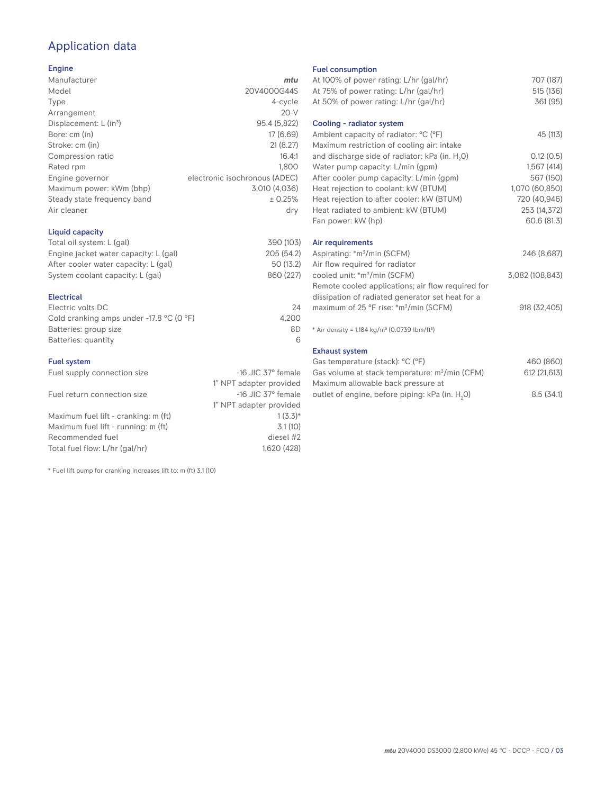# Application data

## Engine

| Manufacturer                         | mtu                           |
|--------------------------------------|-------------------------------|
| Model                                | 20V4000G44S                   |
| Type                                 | 4-cycle                       |
| Arrangement                          | $20-V$                        |
| Displacement: $L$ (in <sup>3</sup> ) | 95.4 (5,822)                  |
| Bore: cm (in)                        | 17 (6.69)                     |
| Stroke: cm (in)                      | 21(8.27)                      |
| Compression ratio                    | 16.4:1                        |
| Rated rpm                            | 1.800                         |
| Engine governor                      | electronic isochronous (ADEC) |
| Maximum power: kWm (bhp)             | 3,010 (4,036)                 |
| Steady state frequency band          | ± 0.25%                       |
| Air cleaner                          | dry                           |
|                                      |                               |

## Liquid capacity

| Total oil system: L (gal)             | 390 (103)  |
|---------------------------------------|------------|
| Engine jacket water capacity: L (gal) | 205 (54.2) |
| After cooler water capacity: L (gal)  | 50 (13.2)  |
| System coolant capacity: L (gal)      | 860 (227)  |
|                                       |            |

## Electrical

| Electric volts DC                                            | 24    |
|--------------------------------------------------------------|-------|
| Cold cranking amps under -17.8 $^{\circ}$ C (O $^{\circ}$ F) | 4.200 |
| Batteries: group size                                        | 8D    |
| Batteries: quantity                                          |       |

## Fuel system

| Fuel supply connection size          | $-16$ JIC 37 $\degree$ female |
|--------------------------------------|-------------------------------|
|                                      | 1" NPT adapter provided       |
| Fuel return connection size          | $-16$ JIC 37 $\degree$ female |
|                                      | 1" NPT adapter provided       |
| Maximum fuel lift - cranking: m (ft) | $1(3.3)*$                     |
| Maximum fuel lift - running: m (ft)  | 3.1(10)                       |
| Recommended fuel                     | diesel #2                     |
| Total fuel flow: L/hr (gal/hr)       | 1,620 (428)                   |

\* Fuel lift pump for cranking increases lift to: m (ft) 3.1 (10)

#### Fuel consumption

| At 100% of power rating: L/hr (gal/hr)                               | 707 (187)       |
|----------------------------------------------------------------------|-----------------|
| At 75% of power rating: L/hr (gal/hr)                                | 515 (136)       |
| At 50% of power rating: L/hr (gal/hr)                                | 361 (95)        |
| Cooling - radiator system                                            |                 |
| Ambient capacity of radiator: °C (°F)                                | 45 (113)        |
| Maximum restriction of cooling air: intake                           |                 |
| and discharge side of radiator: kPa (in. H <sub>2</sub> O)           | 0.12(0.5)       |
| Water pump capacity: L/min (gpm)                                     | 1,567(414)      |
| After cooler pump capacity: L/min (gpm)                              | 567 (150)       |
| Heat rejection to coolant: kW (BTUM)                                 | 1,070 (60,850)  |
| Heat rejection to after cooler: kW (BTUM)                            | 720 (40,946)    |
| Heat radiated to ambient: kW (BTUM)                                  | 253 (14,372)    |
| Fan power: kW (hp)                                                   | 60.6 (81.3)     |
| Air requirements                                                     |                 |
| Aspirating: *m <sup>3</sup> /min (SCFM)                              | 246 (8,687)     |
| Air flow required for radiator                                       |                 |
| cooled unit: *m <sup>3</sup> /min (SCFM)                             | 3,082 (108,843) |
| Remote cooled applications; air flow required for                    |                 |
| dissipation of radiated generator set heat for a                     |                 |
| maximum of 25 °F rise: *m <sup>3</sup> /min (SCFM)                   | 918 (32,405)    |
| * Air density = $1.184 \text{ kg/m}^3$ (0.0739 lbm/ft <sup>3</sup> ) |                 |
| <b>Exhaust system</b>                                                |                 |
| Gas temperature (stack): °C (°F)                                     | 460 (860)       |
| Gas volume at stack temperature: m <sup>3</sup> /min (CFM)           | 612 (21,613)    |

| Uds vulume at stack temperature. In Thin (CFIVI)            | UZ (LU UU) |
|-------------------------------------------------------------|------------|
| Maximum allowable back pressure at                          |            |
| outlet of engine, before piping: kPa (in. H <sub>2</sub> O) | 8.5(34.1)  |